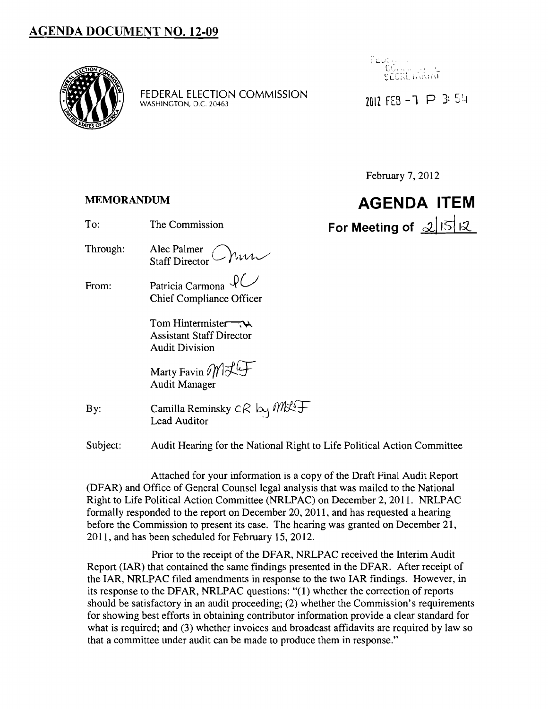

FEDERAL ELECTION COMMISSION WASHINGTON, D.C. 20463



7017 FFB  $-7$   $\triangleright$  3: 54

February 7, 2012

### **MEMORANDUM**

| <b>AGENDA ITEM</b>   |  |
|----------------------|--|
| For Meeting of 21512 |  |

Through: Alec Palmer  $\bigcap_{\text{N}} V$ Staff Director

To: The Commission

From: Patricia Carmona  $\mathcal{U}$ Chief Compliance Officer

> Tom Hintermiste~ Assistant Staff Director Audit Division

Marty Favin  $\mathcal{MIL}$ Audit Manager

By: Camilla Reminsky  $cR$  by  $M\&\downarrow$ . Lead Auditor

Subject: Audit Hearing for the National Right to Life Political Action Committee

Attached for your information is a copy of the Draft Final Audit Report (DFAR) and Office of General Counsel legal analysis that was mailed to the National Right to Life Political Action Committee (NRLPAC) on December 2, 2011. NRLPAC formally responded to the report on December 20,2011, and has requested a hearing before the Commission to present its case. The hearing was granted on December 21, 2011, and has been scheduled for February 15,2012.

Prior to the receipt of the DFAR, NRLPAC received the Interim Audit Report (IAR) that contained the same findings presented in the DFAR. After receipt of the IAR, NRLPAC filed amendments in response to the two IAR findings. However, in its response to the DFAR, NRLPAC questions: "(1) whether the correction of reports should be satisfactory in an audit proceeding; (2) whether the Commission's requirements for showing best efforts in obtaining contributor information provide a clear standard for what is required; and (3) whether invoices and broadcast affidavits are required by law so that a committee under audit can be made to produce them in response."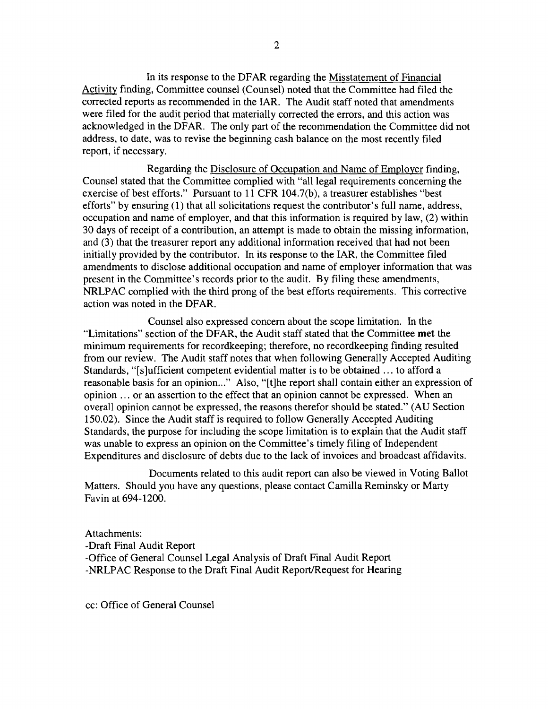In its response to the DFAR regarding the Misstatement of Financial Activity finding, Committee counsel (Counsel) noted that the Committee had filed the corrected reports as recommended in the IAR. The Audit staff noted that amendments were filed for the audit period that materially corrected the errors, and this action was acknowledged in the DFAR. The only part of the recommendation the Committee did not address, to date, was to revise the beginning cash balance on the most recently filed report, if necessary.

Regarding the Disclosure of Occupation and Name of Employer finding, Counsel stated that the Committee complied with "all legal requirements concerning the exercise of best efforts." Pursuant to 11 CFR 104.7(b), a treasurer establishes "best efforts" by ensuring (1) that all solicitations request the contributor's full name, address, occupation and name of employer, and that this information is required by law, (2) within 30 days of receipt of a contribution, an attempt is made to obtain the missing information, and (3) that the treasurer report any additional information received that had not been initially provided by the contributor. In its response to the IAR, the Committee filed amendments to disclose additional occupation and name of employer information that was present in the Committee's records prior to the audit. By filing these amendments, NRLPAC complied with the third prong of the best efforts requirements. This corrective action was noted in the DFAR.

Counsel also expressed concern about the scope limitation. In the "Limitations" section of the DFAR, the Audit staff stated that the Committee **met** the minimum requirements for recordkeeping; therefore, no recordkeeping finding resulted from our review. The Audit staff notes that when following Generally Accepted Auditing Standards, "[s]ufficient competent evidential matter is to be obtained ... to afford a reasonable basis for an opinion..." Also, "[t]he report shall contain either an expression of opinion ... or an assertion to the effect that an opinion cannot be expressed. When an overall opinion cannot be expressed, the reasons therefor should be stated." (AU Section 150.02). Since the Audit staff is required to follow Generally Accepted Auditing Standards, the purpose for including the scope limitation is to explain that the Audit staff was unable to express an opinion on the Committee's timely filing of Independent Expenditures and disclosure of debts due to the lack of invoices and broadcast affidavits.

Documents related to this audit report can also be viewed in Voting Ballot Matters. Should you have any questions, please contact Camilla Reminsky or Marty Favin at 694-1200.

Attachments: -Draft Final Audit Report -Office of General Counsel Legal Analysis of Draft Final Audit Report -NRLPAC Response to the Draft Final Audit Report/Request for Hearing

cc: Office of General Counsel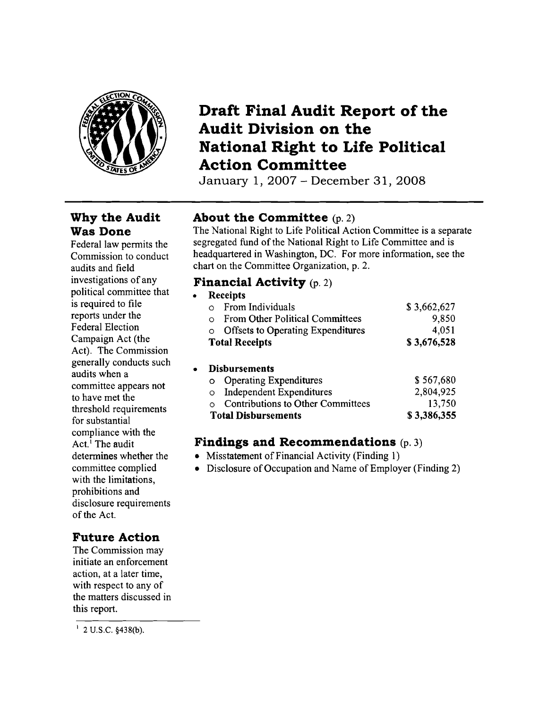

## **Draft Final Audit Report of the Audit Division on the National Right to Life Political Action Committee**

January 1, 2007 - December 31, 2008

## **Why the Audit Was Done**

Federal law permits the Commission to conduct audits and field investigations of any political committee that is required to file reports under the Federal Election Campaign Act (the Act). The Commission generally conducts such audits when a committee appears not to have met the threshold requirements for substantial compliance with the Act.<sup>1</sup> The audit determines whether the committee complied with the limitations, prohibitions and disclosure requirements of the Act.

## **Future Action**

The Commission may initiate an enforcement action, at a later time, with respect to any of the matters discussed in this report.

## **About the Committee** (p. 2)

The National Right to Life Political Action Committee is a separate segregated fund of the National Right to Life Committee and is headquartered in Washington, DC. For more information, see the chart on the Committee Organization, p. 2.

### **Financial Activity** (p. 2)

|           | <b>Receipts</b>                          |             |
|-----------|------------------------------------------|-------------|
|           | From Individuals                         | \$3,662,627 |
| $\Omega$  | <b>From Other Political Committees</b>   | 9,850       |
| $\circ$   | <b>Offsets to Operating Expenditures</b> | 4,051       |
|           | <b>Total Receipts</b>                    | \$3,676,528 |
| $\bullet$ | <b>Disbursements</b>                     |             |
| o         | <b>Operating Expenditures</b>            | \$567,680   |
| O         | <b>Independent Expenditures</b>          | 2,804,925   |
|           | <b>Contributions to Other Committees</b> | 13,750      |
|           | <b>Total Disbursements</b>               | \$3,386,355 |

### **Findings and Recommendations** (p. 3)

- Misstatement of Financial Activity (Finding 1)
- Disclosure of Occupation and Name of Employer (Finding 2)

 $1$  2 U.S.C. §438(b).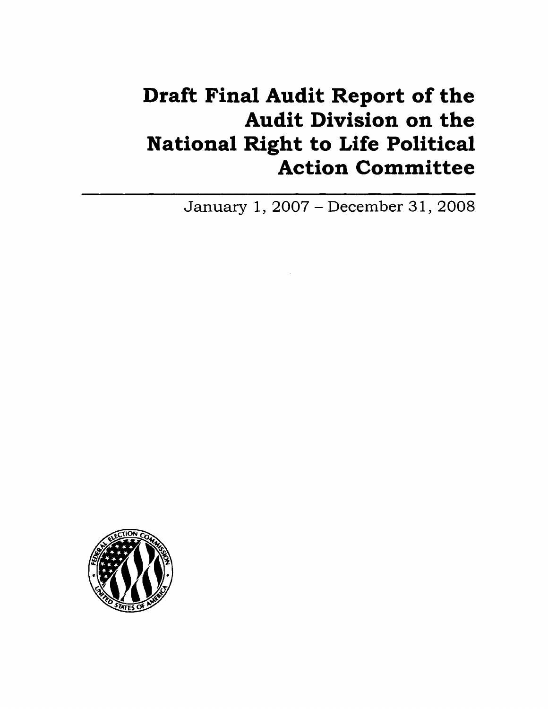# **Draft Final Audit Report of the Audit Division on the National Right to Life Political Action Committee**

January 1,2007 - December 31,2008

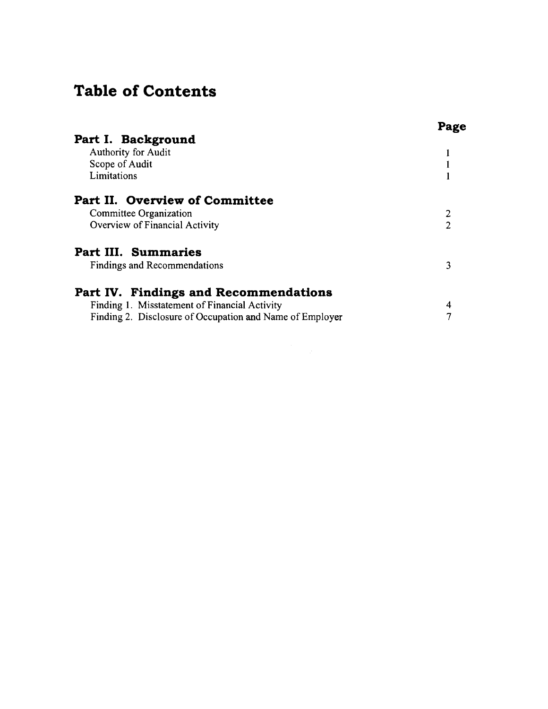## **Table of Contents**

|                                                          | Page |
|----------------------------------------------------------|------|
| Part I. Background                                       |      |
| <b>Authority for Audit</b>                               |      |
| Scope of Audit                                           |      |
| Limitations                                              |      |
| Part II. Overview of Committee                           |      |
| Committee Organization                                   |      |
| Overview of Financial Activity                           | 2    |
| Part III. Summaries                                      |      |
| <b>Findings and Recommendations</b>                      | 3    |
| Part IV. Findings and Recommendations                    |      |
| Finding 1. Misstatement of Financial Activity            | 4    |
| Finding 2. Disclosure of Occupation and Name of Employer | 7    |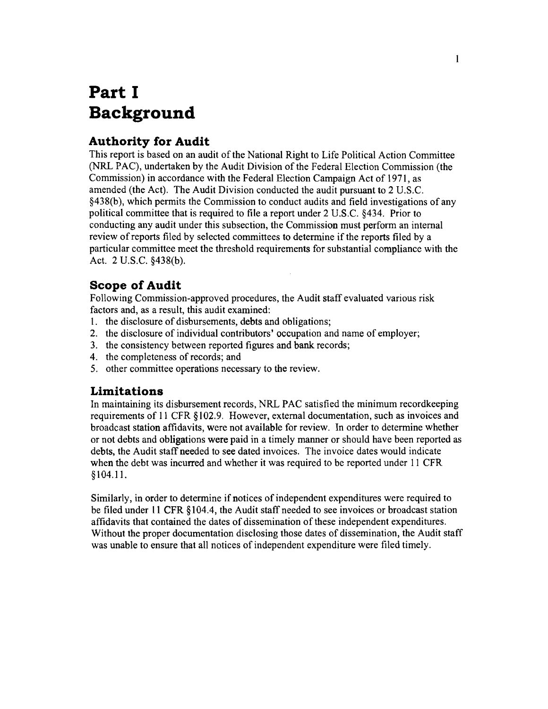# **Part I Background**

## **Authority for Audit**

This report is based on an audit of the National Right to Life Political Action Committee (NRL PAC), undertaken by the Audit Division of the Federal Election Commission (the Commission) in accordance with the Federal Election Campaign Act of 1971, as amended (the Act). The Audit Division conducted the audit pursuant to 2 U.S.c. §438(b), which permits the Commission to conduct audits and field investigations of any political committee that is required to file a report under 2 U.S.c. §434. Prior to conducting any audit under this subsection, the Commission must perform an internal review of reports filed by selected committees to determine if the reports filed by a particular committee meet the threshold requirements for substantial compliance with the Act. 2 U.S.C. §438(b).

### **Scope of Audit**

Following Commission-approved procedures, the Audit staff evaluated various risk factors and, as a result, this audit examined:

- 1. the disclosure of disbursements, debts and obligations;
- 2. the disclosure of individual contributors' occupation and name of employer;
- 3. the consistency between reported figures and bank records;
- 4. the completeness of records; and
- 5. other committee operations necessary to the review.

### **Limitations**

In maintaining its disbursement records, NRL PAC satisfied the minimum recordkeeping requirements of 11 CFR §102.9. However, external documentation, such as invoices and broadcast station affidavits, were not available for review. In order to determine whether or not debts and obligations were paid in a timely manner or should have been reported as debts, the Audit staff needed to see dated invoices. The invoice dates would indicate when the debt was incurred and whether it was required to be reported under 11 CFR §104.11.

Similarly, in order to determine if notices of independent expenditures were required to be filed under 11 CFR §104.4, the Audit staff needed to see invoices or broadcast station affidavits that contained the dates of dissemination of these independent expenditures. Without the proper documentation disclosing those dates of dissemination, the Audit staff was unable to ensure that all notices of independent expenditure were filed timely.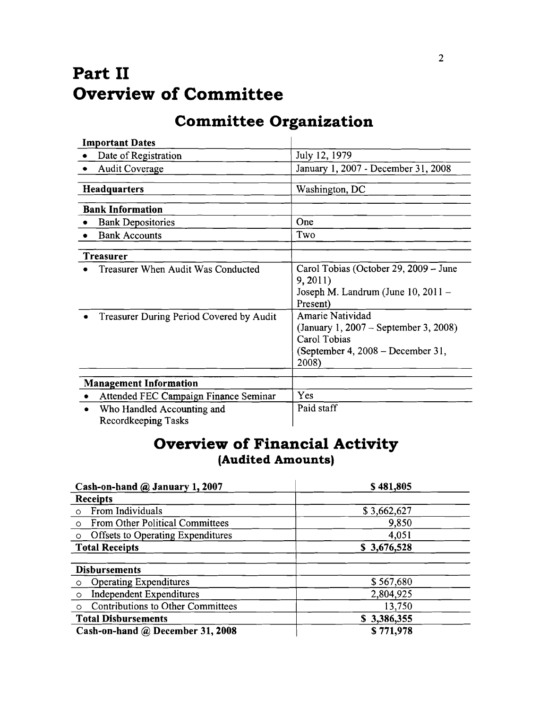# **Part II Overview of Committee**

# **Committee Organization**

| <b>Important Dates</b>                                                         |                                                                                                                                                                                 |
|--------------------------------------------------------------------------------|---------------------------------------------------------------------------------------------------------------------------------------------------------------------------------|
| Date of Registration                                                           | July 12, 1979                                                                                                                                                                   |
| <b>Audit Coverage</b>                                                          | January 1, 2007 - December 31, 2008                                                                                                                                             |
|                                                                                |                                                                                                                                                                                 |
| <b>Headquarters</b>                                                            | Washington, DC                                                                                                                                                                  |
| <b>Bank Information</b>                                                        |                                                                                                                                                                                 |
| <b>Bank Depositories</b>                                                       | One                                                                                                                                                                             |
| <b>Bank Accounts</b>                                                           | Two                                                                                                                                                                             |
| Treasurer                                                                      |                                                                                                                                                                                 |
| Treasurer When Audit Was Conducted<br>Treasurer During Period Covered by Audit | Carol Tobias (October 29, 2009 – June<br>9,2011)<br>Joseph M. Landrum (June 10, 2011 –<br>Present)<br>Amarie Natividad<br>(January 1, 2007 – September 3, 2008)<br>Carol Tobias |
|                                                                                | (September 4, 2008 – December 31,<br>2008)                                                                                                                                      |
| <b>Management Information</b>                                                  |                                                                                                                                                                                 |
| Attended FEC Campaign Finance Seminar                                          | Yes                                                                                                                                                                             |
| Who Handled Accounting and<br>Recordkeeping Tasks                              | Paid staff                                                                                                                                                                      |

## **Overview of Financial Activity (Audited Amounts)**

| Cash-on-hand @ January 1, 2007                      | \$481,805   |  |
|-----------------------------------------------------|-------------|--|
| <b>Receipts</b>                                     |             |  |
| From Individuals<br>$\circ$                         | \$3,662,627 |  |
| From Other Political Committees<br>$\circ$          | 9,850       |  |
| <b>Offsets to Operating Expenditures</b><br>$\circ$ | 4,051       |  |
| <b>Total Receipts</b>                               | \$3,676,528 |  |
|                                                     |             |  |
| <b>Disbursements</b>                                |             |  |
| <b>Operating Expenditures</b><br>$\circ$            | \$567,680   |  |
| <b>Independent Expenditures</b><br>$\circ$          | 2,804,925   |  |
| Contributions to Other Committees<br>$\circ$        | 13,750      |  |
| <b>Total Disbursements</b>                          | \$3,386,355 |  |
| Cash-on-hand @ December 31, 2008                    | \$771,978   |  |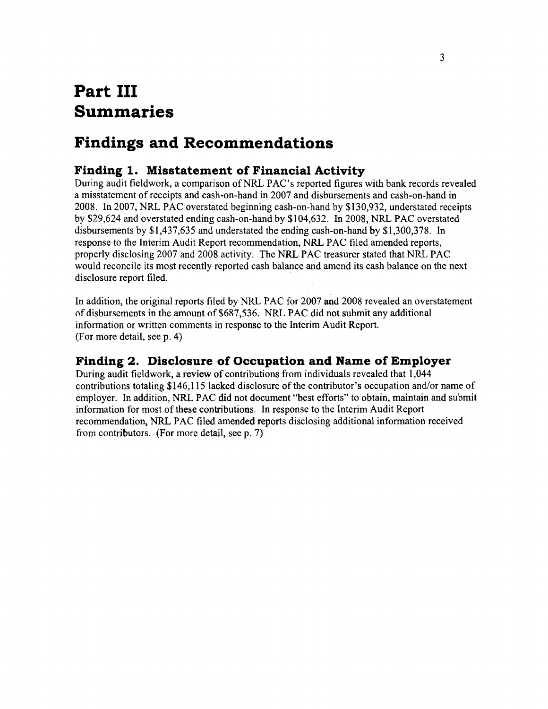## **Part III Summaries**

## **Findings and Recommendations**

## **Finding 1. Misstatement of Financial Activity**

During audit fieldwork, a comparison of NRL PAC's reported figures with bank records revealed a misstatement of receipts and cash-on-hand in 2007 and disbursements and cash-on-hand in 2008. In 2007, NRL PAC overstated beginning cash-on-hand by \$130,932, understated receipts by \$29,624 and overstated ending cash-on-hand by \$104,632. In 2008, NRL PAC overstated disbursements by \$1,437,635 and understated the ending cash-on-hand by \$1,300,378. In response to the Interim Audit Report recommendation, NRL PAC filed amended reports, properly disclosing 2007 and 2008 activity. The NRL PAC treasurer stated that NRL PAC would reconcile its most recently reported cash balance and amend its cash balance on the next disclosure report filed. .

In addition, the original reports filed by NRL PAC for 2007 and 2008 revealed an overstatement of disbursements in the amount of \$687,536. NRL PAC did not submit any additional information or written comments in response to the Interim Audit Report. (For more detail, see p. 4)

## **Finding 2. Disclosure of Occupation and Name of Employer**

During audit fieldwork, a review of contributions from individuals revealed that 1,044 contributions totaling \$146,115 lacked disclosure of the contributor's occupation and/or name of employer. In addition, NRL PAC did not document "best efforts" to obtain, maintain and submit information for most of these contributions. In response to the Interim Audit Report recommendation, NRL PAC filed amended reports disclosing additional information received from contributors. (For more detail, see p. 7)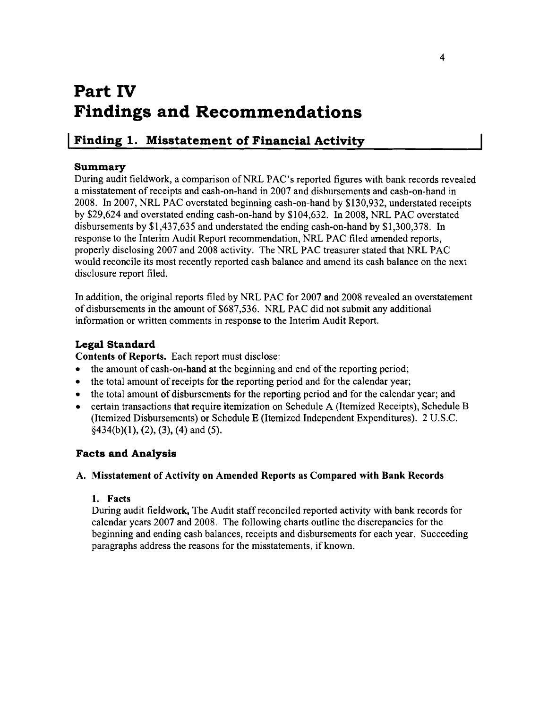## **Part IV Findings and Recommendations**

## **I Finding 1. Misstatement of Financial Activity**

### **Summary**

During audit fieldwork, a comparison of NRL PAC's reported figures with bank records revealed a misstatement of receipts and cash-on-hand in 2007 and disbursements and cash-on-hand in 2008. In 2007, NRL PAC overstated beginning cash-on-hand by \$130,932, understated receipts by \$29,624 and overstated ending cash-on-hand by \$104,632. In 2008, NRL PAC overstated disbursements by \$1,437,635 and understated the ending cash-on-hand by \$1,300,378. In response to the Interim Audit Report recommendation, NRL PAC filed amended reports, properly disclosing 2007 and 2008 activity. The NRL PAC treasurer stated that NRL PAC would reconcile its most recently reported cash balance and amend its cash balance on the next disclosure report filed.

In addition, the original reports filed by NRL PAC for 2007 and 2008 revealed an overstatement of disbursements in the amount of \$687,536. NRL PAC did not submit any additional information or written comments in response to the Interim Audit Report.

### **Legal Standard**

**Contents of Reports.** Each report must disclose:

- the amount of cash-on-hand at the beginning and end of the reporting period;
- $\bullet$  the total amount of receipts for the reporting period and for the calendar year;
- the total amount of disbursements for the reporting period and for the calendar year; and
- certain transactions that require itemization on Schedule A (Itemized Receipts), Schedule B (Itemized Disbursements) or Schedule E (Itemized Independent Expenditures). 2 U.S.C.  $§434(b)(1), (2), (3), (4)$  and (5).

### **Facts and Analysis**

#### A. **Misstatement of Activity on Amended Reports as Compared with Bank Records**

#### **1. Facts**

During audit fieldwork, The Audit staffreconciled reported activity with bank records for calendar years 2007 and 2008. The following charts outline the discrepancies for the beginning and ending cash balances, receipts and disbursements for each year. Succeeding paragraphs address the reasons for the misstatements, if known.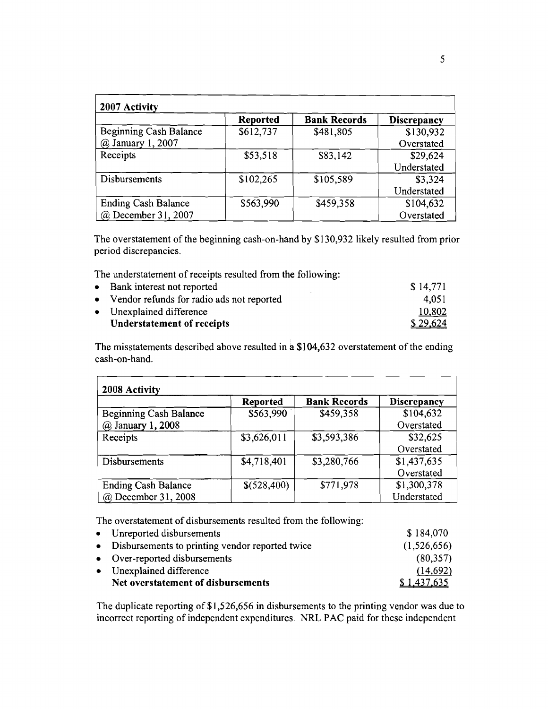| 2007 Activity                 |                 |                     |                    |
|-------------------------------|-----------------|---------------------|--------------------|
|                               | <b>Reported</b> | <b>Bank Records</b> | <b>Discrepancy</b> |
| <b>Beginning Cash Balance</b> | \$612,737       | \$481,805           | \$130,932          |
| @ January 1, 2007             |                 |                     | Overstated         |
| Receipts                      | \$53,518        | \$83,142            | \$29,624           |
|                               |                 |                     | Understated        |
| Disbursements                 | \$102,265       | \$105,589           | \$3,324            |
|                               |                 |                     | Understated        |
| <b>Ending Cash Balance</b>    | \$563,990       | \$459,358           | \$104,632          |
| @ December 31, 2007           |                 |                     | Overstated         |

The overstatement of the beginning cash-on-hand by \$130,932 likely resulted from prior period discrepancies.

The understatement of receipts resulted from the following:

| • Bank interest not reported                | \$14,771 |
|---------------------------------------------|----------|
| • Vendor refunds for radio ads not reported | 4.051    |
| • Unexplained difference                    | 10,802   |
| Understatement of receipts                  | \$29,624 |

The misstatements described above resulted in a \$104,632 overstatement of the ending cash-on-hand.

| 2008 Activity                 |                 |                     |                    |
|-------------------------------|-----------------|---------------------|--------------------|
|                               | <b>Reported</b> | <b>Bank Records</b> | <b>Discrepancy</b> |
| <b>Beginning Cash Balance</b> | \$563,990       | \$459,358           | \$104,632          |
| @ January 1, 2008             |                 |                     | Overstated         |
| Receipts                      | \$3,626,011     | \$3,593,386         | \$32.625           |
|                               |                 |                     | Overstated         |
| <b>Disbursements</b>          | \$4,718,401     | \$3,280,766         | \$1,437,635        |
|                               |                 |                     | Overstated         |
| <b>Ending Cash Balance</b>    | \$(528,400)     | \$771,978           | \$1,300,378        |
| @ December 31, 2008           |                 |                     | Understated        |

The overstatement of disbursements resulted from the following:

| Net overstatement of disbursements                | \$1,437,635 |
|---------------------------------------------------|-------------|
| • Unexplained difference                          | (14,692)    |
| • Over-reported disbursements                     | (80,357)    |
| • Disbursements to printing vendor reported twice | (1,526,656) |
| • Unreported disbursements                        | \$184,070   |

The duplicate reporting of \$1,526,656 in disbursements to the printing vendor was due to incorrect reporting of independent expenditures. NRL PAC paid for these independent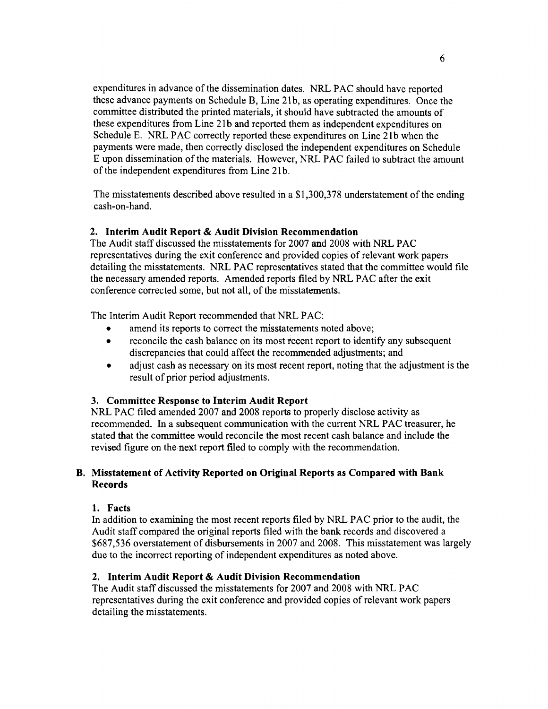expenditures in advance of the dissemination dates. NRL PAC should have reported these advance payments on Schedule B, Line 21b, as operating expenditures. Once the committee distributed the printed materials, it should have subtracted the amounts of these expenditures from Line 21b and reported them as independent expenditures on Schedule E. NRL PAC correctly reported these expenditures on Line 21b when the payments were made, then correctly disclosed the independent expenditures on Schedule E upon dissemination of the materials. However, NRL PAC failed to subtract the amount of the independent expenditures from Line 21b.

The misstatements described above resulted in a \$1,300,378 understatement of the ending cash-on-hand.

#### 2. Interim Audit Report & Audit Division Recommendation

The Audit staff discussed the misstatements for 2007 and 2008 with NRL PAC representatives during the exit conference and provided copies of relevant work papers detailing the misstatements. NRL PAC representatives stated that the committee would file the necessary amended reports. Amended reports filed by NRL PAC after the exit conference corrected some, but not all, of the misstatements.

The Interim Audit Report recommended that NRL PAC:

- amend its reports to correct the misstatements noted above;
- reconcile the cash balance on its most recent report to identify any subsequent discrepancies that could affect the recommended adjustments; and
- adjust cash as necessary on its most recent report, noting that the adjustment is the result of prior period adjustments.

#### 3. Committee Response to Interim Audit Report

NRL PAC filed amended 2007 and 2008 reports to properly disclose activity as recommended. In a subsequent communication with the current NRL PAC treasurer, he stated that the committee would reconcile the most recent cash balance and include the revised figure on the next report filed to comply with the recommendation.

### B. Misstatement of Activity Reported on Original Reports as Compared with Bank Records

#### 1. Facts

In addition to examining the most recent reports filed by NRL PAC prior to the audit, the Audit staff compared the original reports filed with the bank records and discovered a \$687,536 overstatement of disbursements in 2007 and 2008. This misstatement was largely due to the incorrect reporting of independent expenditures as noted above.

### 2. Interim Audit Report & Audit Division Recommendation

The Audit staff discussed the misstatements for 2007 and 2008 with NRL PAC representatives during the exit conference and provided copies of relevant work papers detailing the misstatements.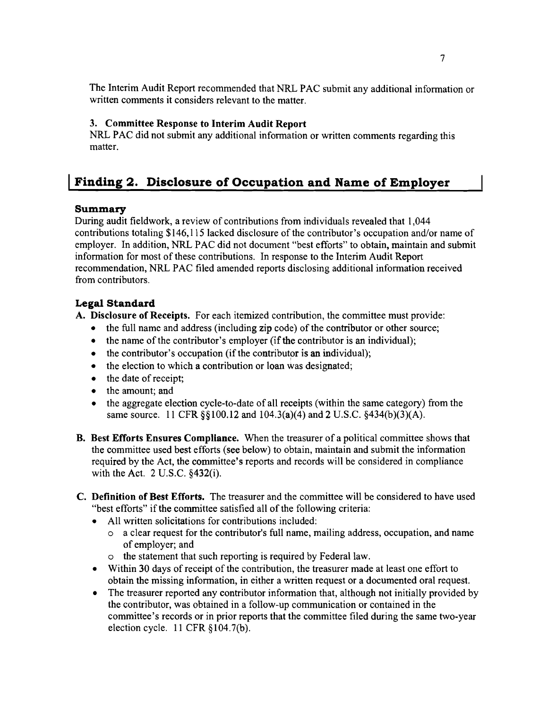The Interim Audit Report recommended that NRL PAC submit any additional information or written comments it considers relevant to the matter.

### 3. Committee Response to Interim Audit Report

NRL PAC did not submit any additional information or written comments regarding this matter.

## **I Finding 2. Disclosure of Occupation and Name of Employer**

### **Summary**

During audit fieldwork, a review of contributions from individuals revealed that 1,044 contributions totaling \$146,115 lacked disclosure of the contributor's occupation and/or name of employer. In addition, NRL PAC did not document "best efforts" to obtain, maintain and submit information for most of these contributions. In response to the Interim Audit Report recommendation, NRL PAC filed amended reports disclosing additional information received from contributors.

### **Legal Standard**

A. Disclosure of Receipts. For each itemized contribution, the committee must provide:

- the full name and address (including zip code) of the contributor or other source;
- the name of the contributor's employer (if the contributor is an individual);
- $\bullet$  the contributor's occupation (if the contributor is an individual);
- the election to which a contribution or loan was designated;
- the date of receipt;
- the amount; and
- the aggregate election cycle-to-date of all receipts (within the same category) from the same source. 11 CFR §§100.12 and 104.3(a)(4) and 2 U.S.C. §434(b)(3)(A).
- B. Best Efforts Ensures Compliance. When the treasurer of a political committee shows that the committee used best efforts (see below) to obtain, maintain and submit the information required by the Act, the committee's reports and records will be considered in compliance with the Act. 2 U.S.C. §432(i).
- C. Definition of Best Efforts. The treasurer and the committee will be considered to have used "best efforts" if the committee satisfied all of the following criteria:
	- All written solicitations for contributions included:
		- $\circ$  a clear request for the contributor's full name, mailing address, occupation, and name of employer; and
		- o the statement that such reporting is required by Federal law.
	- Within 30 days of receipt of the contribution, the treasurer made at least one effort to obtain the missing information, in either a written request or a documented oral request.
	- The treasurer reported any contributor information that, although not initially provided by the contributor, was obtained in a follow-up communication or contained in the committee's records or in prior reports that the committee filed during the same two-year election cycle. 11 CFR §104.7(b).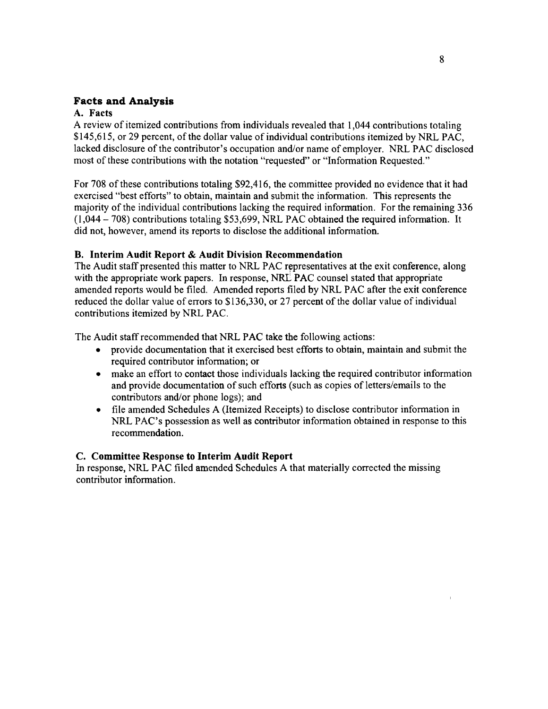### **Facts and Analysis**

#### A. Facts

A review of itemized contributions from individuals revealed that 1,044 contributions totaling \$145,615, or 29 percent, of the dollar value of individual contributions itemized by NRL PAC, lacked disclosure of the contributor's occupation and/or name of employer. NRL PAC disclosed most of these contributions with the notation "requested" or "Information Requested."

For 708 of these contributions totaling \$92,416, the committee provided no evidence that it had exercised "best efforts" to obtain, maintain and submit the information. This represents the majority of the individual contributions lacking the required information. For the remaining 336  $(1,044 - 708)$  contributions totaling \$53,699, NRL PAC obtained the required information. It did not, however, amend its reports to disclose the additional information.

#### B. Interim Audit Report & Audit Division Recommendation

The Audit staff presented this matter to NRL PAC representatives at the exit conference, along with the appropriate work papers. In response, NRL PAC counsel stated that appropriate amended reports would be filed. Amended reports filed by NRL PAC after the exit conference reduced the dollar value of errors to \$136,330, or 27 percent of the dollar value of individual contributions itemized by NRL PAC.

The Audit staff recommended that NRL PAC take the following actions:

- provide documentation that it exercised best efforts to obtain, maintain and submit the required contributor information; or
- make an effort to contact those individuals lacking the required contributor information and provide documentation of such efforts (such as copies of letters/emails to the contributors and/or phone logs); and
- • file amended Schedules A (Itemized Receipts) to disclose contributor information in NRL PAC's possession as well as contributor information obtained in response to this recommendation.

#### C. Committee Response to Interim Audit Report

In response, NRL PAC filed amended Schedules A that materially corrected the missing contributor information.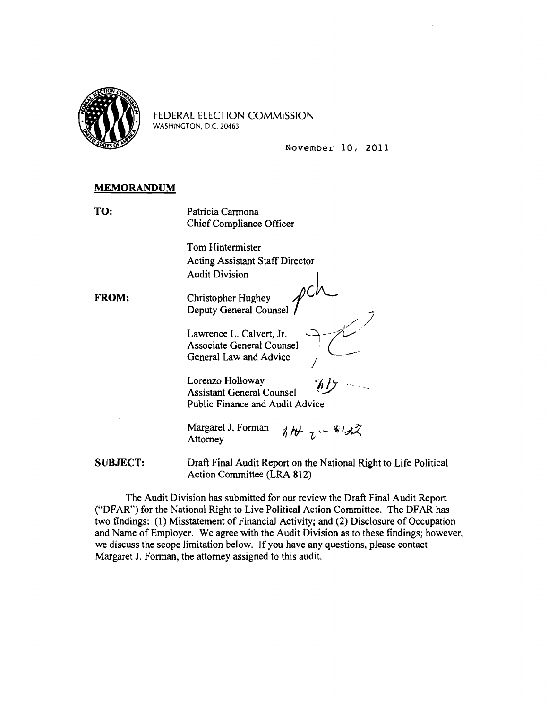

FEDERAL ELECTION COMMISSION WASHINGTON, D.C. 20463

November 10, 2011

)./ "

#### **MEMORANDUM**

TO: Patricia Carmona Chief Compliance Officer

> Tom Hintermister Acting Assistant Staff Director<br>Audit Division |

Audit Division<br>**FROM:** Christopher Hughey  $\mathcal{U}$ Deputy General Counsel

> Lawrence L. Calvert, Jr.<br>Associate General Counsel General Law and Advice

Lorenzo Holloway Assistant General Counsel Public Finance and Audit Advice

Margaret J. Forman  $i_1 h + i_2 h + k_3$ Attorney

**SUBJECT:** Draft Final Audit Report on the National Right to Life Political Action Committee (LRA 812)

The Audit Division has submitted for our review the Draft Final Audit Report ("DFAR") for the National Right to Live Political Action Committee. The DFAR has two findings: (1) Misstatement of Financial Activity; and (2) Disclosure of Occupation and Name of Employer. We agree with the Audit Division as to these findings; however, we discuss the scope limitation below. If you have any questions, please contact Margaret J. Forman, the attorney assigned to this audit.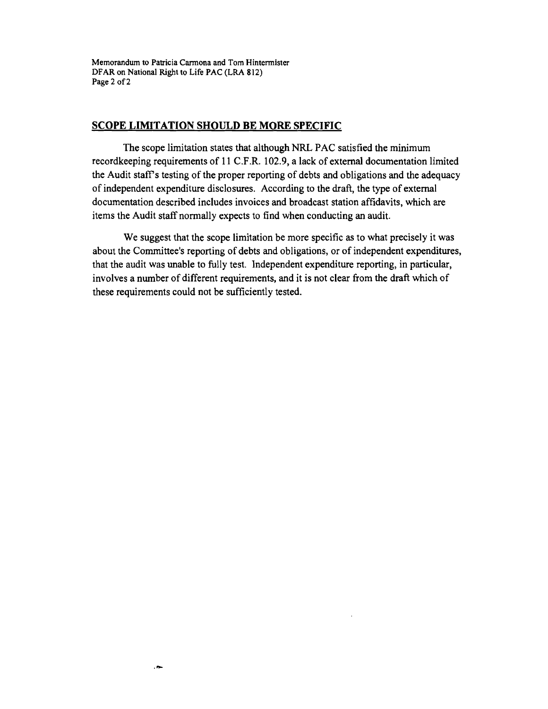Memorandum to Patricia Carmona and Tom Hintermister DFAR on National Right to Life PAC (LRA 812) Page 2 of 2

#### **SCOPE LIMITATION SHOULD BE MORE SPECIFIC**

The scope limitation states that although NRL PAC satisfied the minimum recordkeeping requirements of 11 C.F.R. 102.9, a lack of external documentation limited the Audit staff's testing of the proper reporting of debts and obligations and the adequacy of independent expenditure disclosures. According to the draft, the type of external documentation described includes invoices and broadcast station affidavits, which are items the Audit staff normally expects to find when conducting an audit.

We suggest that the scope limitation be more specific as to what precisely it was about the Committee's reporting of debts and obligations, or of independent expenditures, that the audit was unable to fully test. Independent expenditure reporting, in particular, involves a number of different requirements, and it is not clear from the draft which of these requirements could not be sufficiently tested.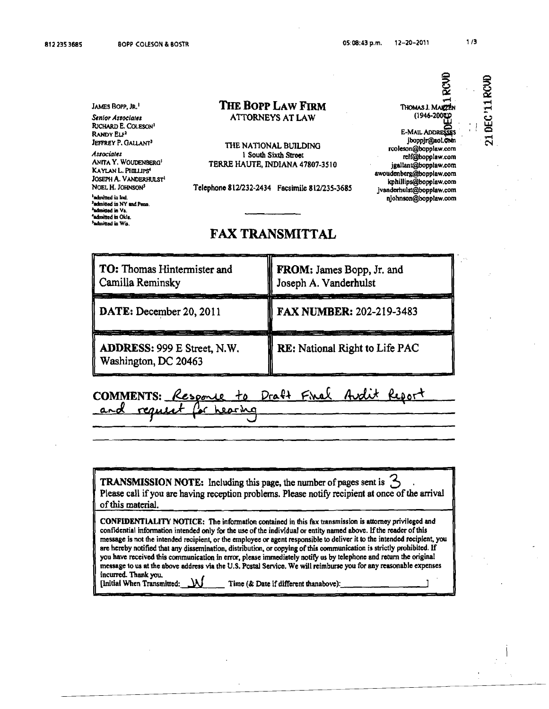812 235 3685 BOPP COLESON & BOSTR 65:08:43 p.m. 12-20-2011 1/3

JAMES BOPP, JR.<sup>1</sup> Senior Associates RICHARD E. COLESON' RANDY ELF<sup>2</sup> JEFFREY P. GALLANT<sup>3</sup>

*AssociattS*  ANrrA Y. WOUDeN8ERG' KAYLAN L. PHILLIPS<sup>4</sup> JOSEPH A. VANOERHULST' NOEL H. JOHNSON' 'odInitIcd in Ind. 'admitted in NY and Penn. <sup>3</sup>ndmitted in Va. <sup>1</sup>admitted in Okla <sup>\$</sup>admitted in Wis.

#### THE Bopp LAW FIRM **ATTORNEYS AT LAW**

THE NATIONAL BUILDING 1 South Sixth Stroet TERRE HAUTE. INDIANA 47807·3510

Telephono *8121232-2434* Facsimile 8121235·3685

### FAX TRANSMITTAL

| <b>TO:</b> Thomas Hintermister and<br>Camilla Reminsky | FROM: James Bopp, Jr. and<br>Joseph A. Vanderhulst |
|--------------------------------------------------------|----------------------------------------------------|
| DATE: December 20, 2011                                | <b>FAX NUMBER: 202-219-3483</b>                    |
| ADDRESS: 999 E Street, N.W.<br>Washington, DC 20463    | <b>RE:</b> National Right to Life PAC              |

#### Draft Final Audit Report COMMENTS: Resoone  $+$ reques hearing

TRANSMISSION NOTE: Including this page, the number of pages sent is  $\circlearrowleft$ Please call ifyou are having reception problems. Please notify recipient at once of the arrival of this material.

CONFIDENTiALITY NOTICE: The infonnatlon contained in this fax transmission is attorney privileged and confidential information intended only for the use of the individual or entity named above. If the reader of this message is not the intended recipient, or the employee or agent responsible to deliver it to the intended recipient, you are hereby notified that any dissemination, distribution, or copying of this communication is strictly prohibited. If you have received this communication in error, please immediately notify us by telephone and return the original message to us at the above address via the U.S. Postal Service. We will reimburse you for any reasonable expenses incWTed. Thank you. [Initial When Transmitted:  $\Delta J$  Time (& Date if different thanabove):

 $\frac{1}{2}$ 

§

e<br>11

u<br>ይር ......  $\mathbf{C}$ 

..-I

RCVD

(1946-20Offi E-MAIL ADDRESSES jboppjr@aol.com rcoleson@bopplaw.com relf@bopplaw.com jgallant@bopplaw.com awoudenbcrg@bopplaw.com kphillipS@bopplaw.com jvandcrhulst@bopplaw.com lIiohnson@bopplaw.com

THOMAS J.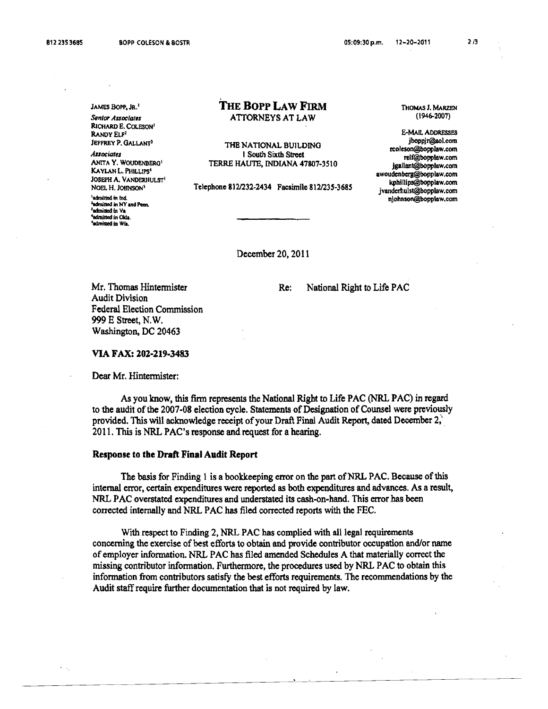RICHARD E. COLESON<sup>1</sup><br>RANDY ELF<sup>2</sup>

'admitted in Ind.<br>Padmitted in NY and Penn <sup>1</sup>admitted in Va. <sup>4</sup>admitted in Okla. 'admitted in Wis.

#### JAMES BOPP, JR. 1 **THE BOPP LAW FIRM** THOMAS J. MARZEN<br>Sentor Associates **ATTORNEYS AT LAW** (1946-2007) **Senior Associates 6 ATTORNEYS AT LAW**

RANDY ELF<sup>2</sup> E-MAIL ADDRESSES Jerrex P. GALLANT<sup>3</sup><br>
Associates<br>
Associates<br>
ANTA Y. WOUDENBERG<sup>1</sup><br>
ANTA Y. WOUDENBERG<sup>1</sup><br>
TERRE HAUTE, INDIANA 47807-3510<br>
ISOUTE ANTA ATERNE ENDENA 47807-3510<br>
ISOUTE A. VANDERHULST<sup>1</sup><br>
ISOUTE A. VANDERHULST<sup>1</sup><br>
ISOUTE

December 20, 2011

Mr. Thomas Hintermister Re: National Right to Life PAC

Audit Division Federal Election Commission 999 E Street, N. W. Washington, DC 20463

#### VIA FAX: 202·219·3483

Dear Mr. Hintermister:

As you know, this finn represents the National Right to Life PAC (NRL PAC) in regard to the audit of the 2007-08 election cycle. Statements of Designation of Counsel were previously provided. This will acknowledge receipt of your Draft Final Audit Report, dated December 2, 2011. This is NRL PAC's response and request for a hearing.

#### Response to tbe Draft Final Audit Report

The basis for Finding 1 is a bookkeeping error on the part of NRL PAC. Because of this internal error, certain expenditures were reported as both expenditures and advances. As a result, NRL PAC overstated expenditures and understated its cash-on-hand. This error has been corrected internally and NRL PAC has filed corrected reports with the FEC.

With respect to Finding 2, NRL PAC has complied with all legal requirements concerning the exercise of best efforts to obtain and provide contributor occupation and/or name of employer information. NRL PAC has filed amended Schedules A that materially correct the missing contributor infonnation. Furthennore, the procedures used by NRL PAC to obtain this information from contributors satisfy the best efforts requirements. The recommendations by the Audit staff require further documentation that is not required by law.